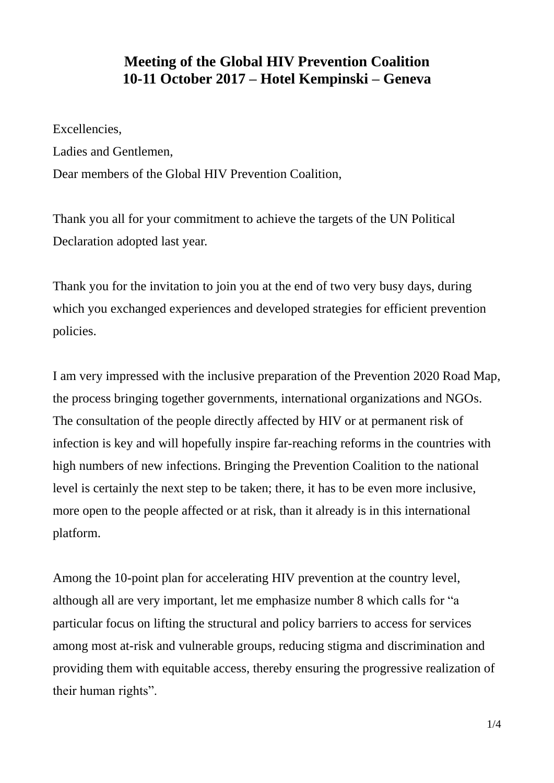## **Meeting of the Global HIV Prevention Coalition 10-11 October 2017 – Hotel Kempinski – Geneva**

Excellencies,

Ladies and Gentlemen,

Dear members of the Global HIV Prevention Coalition,

Thank you all for your commitment to achieve the targets of the UN Political Declaration adopted last year.

Thank you for the invitation to join you at the end of two very busy days, during which you exchanged experiences and developed strategies for efficient prevention policies.

I am very impressed with the inclusive preparation of the Prevention 2020 Road Map, the process bringing together governments, international organizations and NGOs. The consultation of the people directly affected by HIV or at permanent risk of infection is key and will hopefully inspire far-reaching reforms in the countries with high numbers of new infections. Bringing the Prevention Coalition to the national level is certainly the next step to be taken; there, it has to be even more inclusive, more open to the people affected or at risk, than it already is in this international platform.

Among the 10-point plan for accelerating HIV prevention at the country level, although all are very important, let me emphasize number 8 which calls for "a particular focus on lifting the structural and policy barriers to access for services among most at-risk and vulnerable groups, reducing stigma and discrimination and providing them with equitable access, thereby ensuring the progressive realization of their human rights".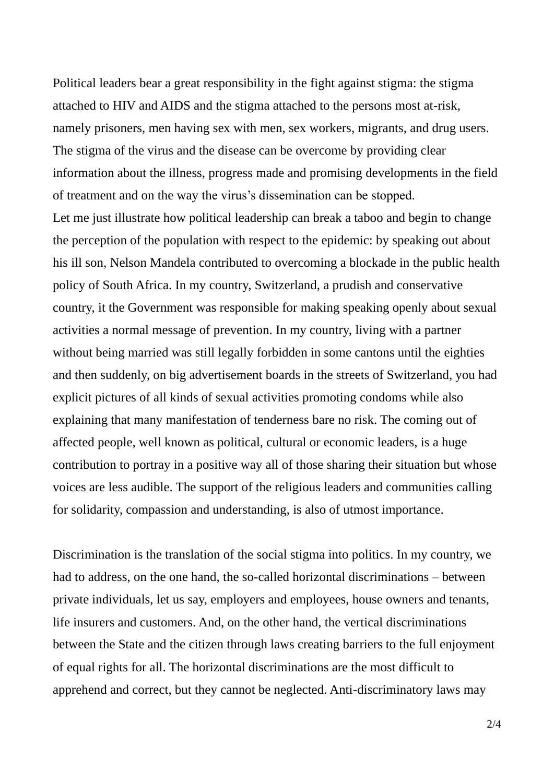Political leaders bear a great responsibility in the fight against stigma: the stigma attached to HIV and AIDS and the stigma attached to the persons most at-risk, namely prisoners, men having sex with men, sex workers, migrants, and drug users. The stigma of the virus and the disease can be overcome by providing clear information about the illness, progress made and promising developments in the field of treatment and on the way the virus's dissemination can be stopped.

Let me just illustrate how political leadership can break a taboo and begin to change the perception of the population with respect to the epidemic: by speaking out about his ill son, Nelson Mandela contributed to overcoming a blockade in the public health policy of South Africa. In my country, Switzerland, a prudish and conservative country, it the Government was responsible for making speaking openly about sexual activities a normal message of prevention. In my country, living with a partner without being married was still legally forbidden in some cantons until the eighties and then suddenly, on big advertisement boards in the streets of Switzerland, you had explicit pictures of all kinds of sexual activities promoting condoms while also explaining that many manifestation of tenderness bare no risk. The coming out of affected people, well known as political, cultural or economic leaders, is a huge contribution to portray in a positive way all of those sharing their situation but whose voices are less audible. The support of the religious leaders and communities calling for solidarity, compassion and understanding, is also of utmost importance.

Discrimination is the translation of the social stigma into politics. In my country, we had to address, on the one hand, the so-called horizontal discriminations – between private individuals, let us say, employers and employees, house owners and tenants, life insurers and customers. And, on the other hand, the vertical discriminations between the State and the citizen through laws creating barriers to the full enjoyment of equal rights for all. The horizontal discriminations are the most difficult to apprehend and correct, but they cannot be neglected. Anti-discriminatory laws may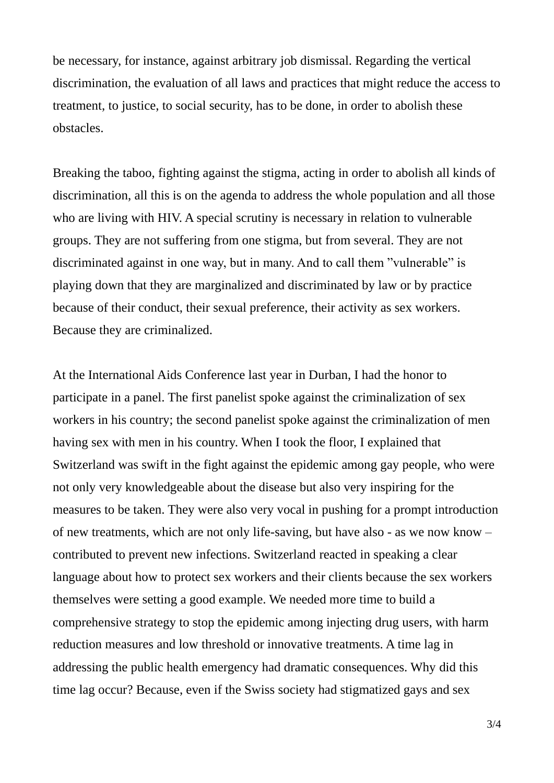be necessary, for instance, against arbitrary job dismissal. Regarding the vertical discrimination, the evaluation of all laws and practices that might reduce the access to treatment, to justice, to social security, has to be done, in order to abolish these obstacles.

Breaking the taboo, fighting against the stigma, acting in order to abolish all kinds of discrimination, all this is on the agenda to address the whole population and all those who are living with HIV. A special scrutiny is necessary in relation to vulnerable groups. They are not suffering from one stigma, but from several. They are not discriminated against in one way, but in many. And to call them "vulnerable" is playing down that they are marginalized and discriminated by law or by practice because of their conduct, their sexual preference, their activity as sex workers. Because they are criminalized.

At the International Aids Conference last year in Durban, I had the honor to participate in a panel. The first panelist spoke against the criminalization of sex workers in his country; the second panelist spoke against the criminalization of men having sex with men in his country. When I took the floor, I explained that Switzerland was swift in the fight against the epidemic among gay people, who were not only very knowledgeable about the disease but also very inspiring for the measures to be taken. They were also very vocal in pushing for a prompt introduction of new treatments, which are not only life-saving, but have also - as we now know – contributed to prevent new infections. Switzerland reacted in speaking a clear language about how to protect sex workers and their clients because the sex workers themselves were setting a good example. We needed more time to build a comprehensive strategy to stop the epidemic among injecting drug users, with harm reduction measures and low threshold or innovative treatments. A time lag in addressing the public health emergency had dramatic consequences. Why did this time lag occur? Because, even if the Swiss society had stigmatized gays and sex